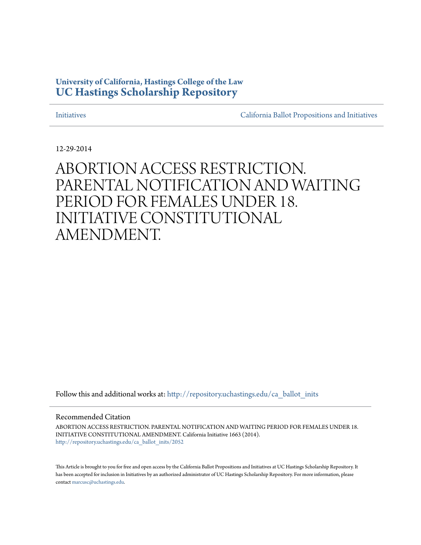## **University of California, Hastings College of the Law [UC Hastings Scholarship Repository](http://repository.uchastings.edu?utm_source=repository.uchastings.edu%2Fca_ballot_inits%2F2052&utm_medium=PDF&utm_campaign=PDFCoverPages)**

[Initiatives](http://repository.uchastings.edu/ca_ballot_inits?utm_source=repository.uchastings.edu%2Fca_ballot_inits%2F2052&utm_medium=PDF&utm_campaign=PDFCoverPages) [California Ballot Propositions and Initiatives](http://repository.uchastings.edu/ca_ballots?utm_source=repository.uchastings.edu%2Fca_ballot_inits%2F2052&utm_medium=PDF&utm_campaign=PDFCoverPages)

12-29-2014

# ABORTION ACCESS RESTRICTION. PARENTAL NOTIFICATION AND WAITING PERIOD FOR FEMALES UNDER 18. INITIATIVE CONSTITUTIONAL AMENDMENT.

Follow this and additional works at: [http://repository.uchastings.edu/ca\\_ballot\\_inits](http://repository.uchastings.edu/ca_ballot_inits?utm_source=repository.uchastings.edu%2Fca_ballot_inits%2F2052&utm_medium=PDF&utm_campaign=PDFCoverPages)

Recommended Citation

ABORTION ACCESS RESTRICTION. PARENTAL NOTIFICATION AND WAITING PERIOD FOR FEMALES UNDER 18. INITIATIVE CONSTITUTIONAL AMENDMENT. California Initiative 1663 (2014). [http://repository.uchastings.edu/ca\\_ballot\\_inits/2052](http://repository.uchastings.edu/ca_ballot_inits/2052?utm_source=repository.uchastings.edu%2Fca_ballot_inits%2F2052&utm_medium=PDF&utm_campaign=PDFCoverPages)

This Article is brought to you for free and open access by the California Ballot Propositions and Initiatives at UC Hastings Scholarship Repository. It has been accepted for inclusion in Initiatives by an authorized administrator of UC Hastings Scholarship Repository. For more information, please contact [marcusc@uchastings.edu](mailto:marcusc@uchastings.edu).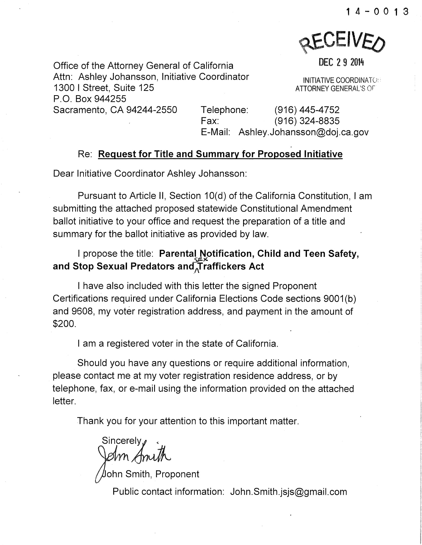

DEC 2 9 2014

Office of the Attorney General of California Attn: Ashley Johansson, Initiative Coordinator 1300 I Street, Suite 125 P.O. Box 944255 Sacramento, CA 94244-2550 Telephone: (916) 445-4752

INITIATIVE COOROINATCx' A TIORNEY GENERAL'S or

Fax: (916) 324-8835 E-Mail: Ashley.Johansson@doj.ca.gov

### Re: **Request for Title and Summary for Proposed Initiative**

Dear Initiative Coordinator Ashley Johansson:

Pursuant to Article II, Section 10(d) of the California Constitution, I am submitting the attached proposed statewide Constitutional Amendment ballot initiative to your office and request the preparation of a title and summary for the ballot initiative as provided by law.

## I propose the title: **Parental Notification, Child and Teen Safety, and Stop Sexual Predators** an~Traffickers **Act**

I have also included with this letter the signed Proponent Certifications required under California Elections Code sections 9001 (b) and 9608, my voter registration address, and payment in the amount of \$200.

I am a registered voter in the state of California.

Should you have any questions or require additional information, please contact me at my voter registration residence address, or by telephone, fax, or e-mail using the information provided on the attached letter.

Thank you for your attention to this important matter.

Sincerely,<br>Jehn Ami

Uohn Smith, Proponent

Public contact information: John.Smith.jsjs@gmail.com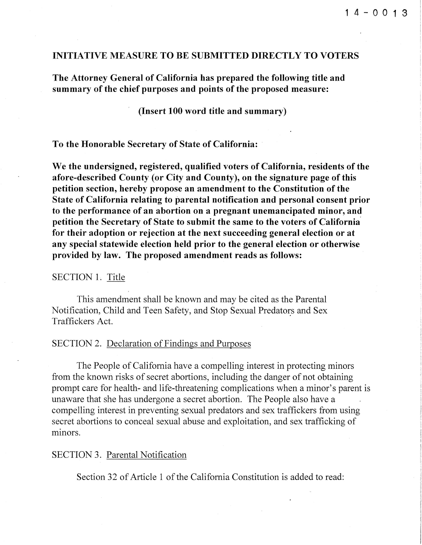#### INITIATIVE MEASURE TO BE SUBMITTED DIRECTLY TO VOTERS

The Attorney General of California has prepared the following title and summary of the chief purposes and points of the proposed measure:

(Insert 100 word title and summary)

To the Honorable Secretary of State of California:

We the undersigned, registered, qualified voters of California, residents of the afore-described County (or City and County), on the signature page of this petition section, hereby propose an amendment to the Constitution of the State of California relating to parental notification and personal consent prior to the performance of an abortion on a pregnant unemancipated minor, and petition the Secretary of State to submit the same to the voters of California for their adoption or rejection at the next succeeding general election or at any special statewide election held prior to the general election or otherwise provided by law. The proposed amendment reads as follows:

#### SECTION 1, Title

This amendment shall be known and may be cited as the Parental Notification, Child and Teen Safety, and Stop Sexual Predators and Sex Traffickers Act.

#### SECTION 2. Declaration of Findings and Purposes

The People of California have a compelling interest in protecting minors from the known risks of secret abortions, including the danger of not obtaining prompt care for health- and life-threatening complications when a minor's parent is unaware that she has undergone a secret abortion. The People also have a compelling interest in preventing sexual predators and sex traffickers from using secret abortions to conceal sexual abuse and exploitation, and sex trafficking of minors.

#### SECTION 3. Parental Notification

Section 32 of Article 1 of the California Constitution is added to read: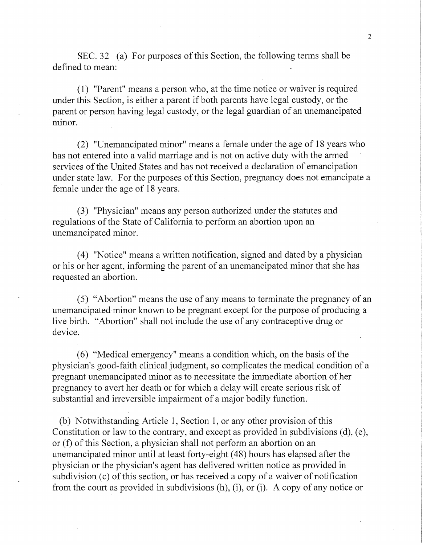SEC. 32 (a) For purposes of this Section, the following terms shall be defined to mean:

( 1) "Parent" means a person who, at the time notice or waiver is required under this Section, is either a parent if both parents have legal custody, or the parent or person having legal custody, or the legal guardian of an unemancipated minor.

(2) "Unemancipated minor" means a female under the age of 18 years who has not entered into a valid marriage and is not on active duty with the armed services of the United States and has not received a declaration of emancipation under state law. For the purposes of this Section, pregnancy does not emancipate a female under the age of 18 years.

(3) "Physician" means any person authorized under the statutes and regulations of the State of California to perform an abortion upon an unemancipated minor.

(4) "Notice" means a written notification, signed and dated by a physician or his or her agent, informing the parent of an unemancipated minor that she has requested an abortion.

(5) "Abortion" means the use of any means to terminate the pregnancy of an unemancipated minor known to be pregnant except for the purpose of producing a live birth. "Abortion" shall not include the use of any contraceptive drug or device.

( 6) "Medical emergency" means a condition which, on the basis of the physician's good-faith clinical judgment, so complicates the medical condition of a pregnant unemancipated minor as to necessitate the immediate abortion of her pregnancy to avert her death or for which a delay will create serious risk of substantial and irreversible impairment of a major bodily function.

(b) Notwithstanding Article 1, Section 1, or any other provision of this Constitution or law to the contrary, and except as provided in subdivisions  $(d)$ ,  $(e)$ , or (f) of this Section, a physician shall not perform an abortion on an unemancipated minor until at least forty-eight ( 48) hours has elapsed after the physician or the physician's agent has delivered written notice as provided in subdivision (c) of this section, or has received a copy of a waiver of notification from the court as provided in subdivisions  $(h)$ ,  $(i)$ , or  $(i)$ . A copy of any notice or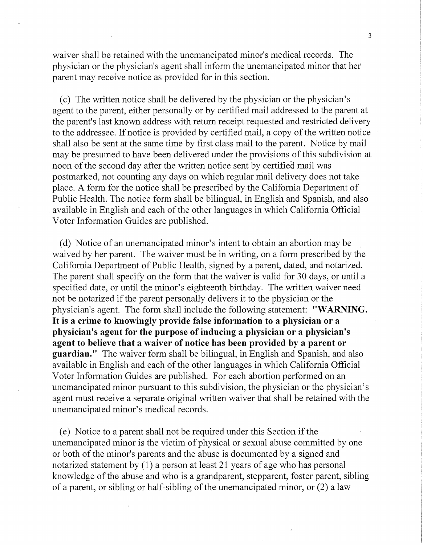waiver shall be retained with the unemancipated minor's medical records. The physician or the physician's agent shall inform the unemancipated minor that her parent may receive notice as provided for in this section.

(c) The written notice shall be delivered by the physician or the physician's agent to the parent, either personally or by certified mail addressed to the parent at the parent's last known address with return receipt requested and restricted delivery to the addressee. If notice is provided by certified mail, a copy of the written notice shall also be sent at the same time by first class mail to the parent. Notice by mail may be presumed to have been delivered under the provisions of this subdivision at noon of the second day after the written notice sent by certified mail was postmarked, not counting any days on which regular mail delivery does not take place. A form for the notice shall be prescribed by the California Department of Public Health. The notice form shall be bilingual, in English and Spanish, and also available in English and each of the other languages in which California Official Voter Information Guides are published.

(d) Notice of an unemancipated minor's intent to obtain an abortion may be waived by her parent. The waiver must be in writing, on a form prescribed by the California Department of Public Health, signed by a parent, dated, and notarized. The parent shall specify on the form that the waiver is valid for 30 days, or until a specified date, or until the minor's eighteenth birthday. The written waiver need not be notarized if the parent personally delivers it to the physician or the physician's agent. The form shall include the following statement: **"WARNING.**  It is **a crime to knowingly provide false information to a physician or a physician's agent for the purpose of inducing a physician or a physician's agent to believe that a waiver of notice has been provided by a parent or guardian."** The waiver form shall be bilingual, in English and Spanish, and also available in English and each of the other languages in which California Official Voter Information Guides are published. For each abortion performed on an unemancipated minor pursuant to this subdivision, the physician or the physician's agent must receive a separate original written waiver that shall be retained with the unemancipated minor's medical records.

(e) Notice to a parent shall not be required under this Section if the unemancipated minor is the victim of physical or sexual abuse committed by one or both of the minor's parents and the abuse is documented by a signed and notarized statement by  $(1)$  a person at least 21 years of age who has personal knowledge of the abuse and who is a grandparent, stepparent, foster parent, sibling of a parent, or sibling or half-sibling of the unemancipated minor, or (2) a law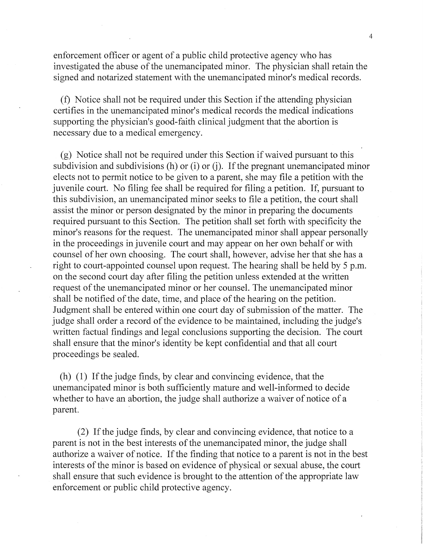enforcement officer or agent of a public child protective agency who has investigated the abuse of the unemancipated minor. The physician shall retain the signed and notarized statement with the unemancipated minor's medical records.

(f) Notice shall not be required under this Section if the attending physician certifies in the unemancipated minor's medical records the medical indications supporting the physician's good-faith clinical judgment that the abortion is necessary due to a medical emergency.

(g) Notice shall not be required under this Section if waived pursuant to this subdivision and subdivisions (h) or  $(i)$  or  $(j)$ . If the pregnant unemancipated minor elects not to permit notice to be given to a parent, she may file a petition with the juvenile court. No filing fee shall be required for filing a petition. If, pursuant to this subdivision, an unemancipated minor seeks to file a petition, the court shall assist the minor or person designated by the minor in preparing the documents required pursuant to this Section. The petition shall set forth with specificity the minor's reasons for the request. The unemancipated minor shall appear personally in the proceedings in juvenile court and may appear on her own behalf or with counsel of her own choosing. The court shall, however, advise her that she has a right to court-appointed counsel upon request. The hearing shall be held by 5 p.m. on the second court day after filing the petition unless extended at the written request of the unemancipated minor or her counsel. The unemancipated minor shall be notified of the date, time, and place of the hearing on the petition. Judgment shall be entered within one court day of submission of the matter. The judge shall order a record of the evidence to be maintained, including the judge's written factual findings and legal conclusions supporting the decision. The court shall ensure that the minor's identity be kept confidential and that all court proceedings be sealed.

(h) (1) If the judge finds, by clear and convincing evidence, that the unemancipated minor is both sufficiently mature and well-informed to decide whether to have an abortion, the judge shall authorize a waiver of notice of a parent.

(2) If the judge finds, by clear and convincing evidence, that notice to a parent is not in the best interests of the unemancipated minor, the judge shall authorize a waiver of notice. If the finding that notice to a parent is not in the best interests of the minor is based on evidence of physical or sexual abuse, the court shall ensure that such evidence is brought to the attention of the appropriate law enforcement or public child protective agency.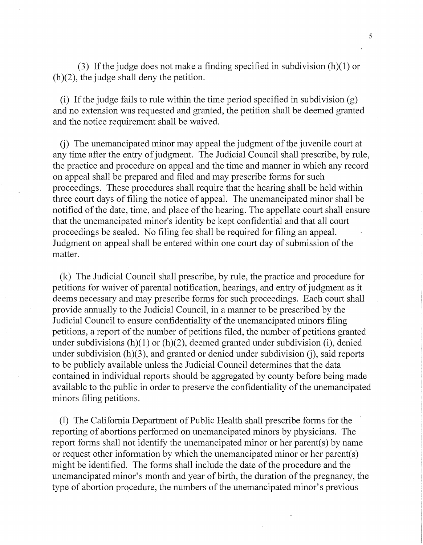(3) If the judge does not make a finding specified in subdivision  $(h)(1)$  or  $(h)(2)$ , the judge shall deny the petition.

(i) If the judge fails to rule within the time period specified in subdivision (g) and no extension was requested and granted, the petition shall be deemed granted and the notice requirement shall be waived.

 $(i)$  The unemancipated minor may appeal the judgment of the juvenile court at any time after the entry of judgment. The Judicial Council shall prescribe, by rule, the practice and procedure on appeal and the time and manner in which any record on appeal shall be prepared and filed and may prescribe forms for such proceedings. These procedures shall require that the hearing shall be held within three court days of filing the notice of appeal. The unemancipated minor shall be notified of the date, time, and place of the hearing. The appellate court shall ensure that the unemancipated minor's identity be kept confidential and that all court proceedings be sealed. No filing fee shall be required for filing an appeal. Judgment on appeal shall be entered within one court day of submission of the matter.

(k) The Judicial Council shall prescribe, by rule, the practice and procedure for petitions for waiver of parental notification, hearings, and entry of judgment as it deems necessary and may prescribe forms for such proceedings. Each court shall provide annually to 'the Judicial Council, in a manner to be prescribed by the Judicial Council to ensure confidentiality of the unemancipated minors filing petitions, a report of the number of petitions filed, the number of petitions granted under subdivisions  $(h)(1)$  or  $(h)(2)$ , deemed granted under subdivision (i), denied under subdivision  $(h)(3)$ , and granted or denied under subdivision  $(i)$ , said reports to be publicly available unless the Judicial Council determines that the data contained in individual reports should be aggregated by county before being made available to the public in order to preserve the confidentiality of the unemancipated minors filing petitions.

(1) The California Department of Public Health shall prescribe forms for the reporting of abortions performed on unemancipated minors by physicians. The report forms shall not identify the unemancipated minor or her parent(s) by name or request other information by which the unemancipated minor or her parent(s) might be identified. The forms shall include the date of the procedure and the unemancipated minor's month and year of birth, the duration of the pregnancy, the type of abortion procedure, the numbers of the unemancipated minor's previous

5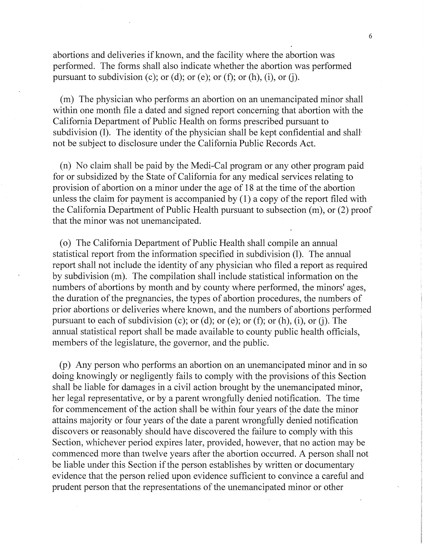abortions and deliveries if known, and the facility where the abortion was performed. The forms shall also indicate whether the abortion was performed pursuant to subdivision (c); or (d); or (e); or (f); or (h), (i), or (j).

(m) The physician who performs an abortion on an unemancipated minor shall within one month file a dated and signed report concerning that abortion with the California Department of Public Health on forms prescribed pursuant to subdivision (1). The identity of the physician shall be kept confidential and shall not be subject to disclosure under the California Public Records Act.

(n) No claim shall be paid by the Medi-Cal program or any other program paid for or subsidized by the State of California for any medical services relating to provision of abortion on a minor under the age of 18 at the time of the abortion unless the claim for payment is accompanied by  $(1)$  a copy of the report filed with the California Department of Public Health pursuant to subsection (m), or (2) proof that the minor was not unemancipated.

( o) The California Department of Public Health shall compile an annual statistical report from the information specified in subdivision (1). The annual report shall not include the identity of any physician who filed a report as required by subdivision (m). The compilation shall include statistical information on the numbers of abortions by month and by county where performed, the minors' ages, the duration of the pregnancies, the types of abortion procedures, the numbers of prior abortions or deliveries where known, and the numbers of abortions performed pursuant to each of subdivision (c); or (d); or (e); or (f); or (h), (i), or (j). The annual statistical report shall be made available to county public health officials, members of the legislature, the governor, and the public.

(p) Any person who performs an abortion on an unemancipated minor and in so doing knowingly or negligently fails to comply with the provisions of this Section shall be liable for damages in a civil action brought by the unemancipated minor, her legal representative, or by a parent wrongfully denied notification. The time for commencement of the action shall be within four years of the date the minor attains majority or four years of the date a parent wrongfully denied notification discovers or reasonably should have discovered the failure to comply with this Section, whichever period expires later, provided, however, that no action may be commenced more than twelve years after the abortion occurred. A person shall not be liable under this Section if the person establishes by written or documentary evidence that the person relied upon evidence sufficient to convince a careful and prudent person that the representations of the unemancipated minor or other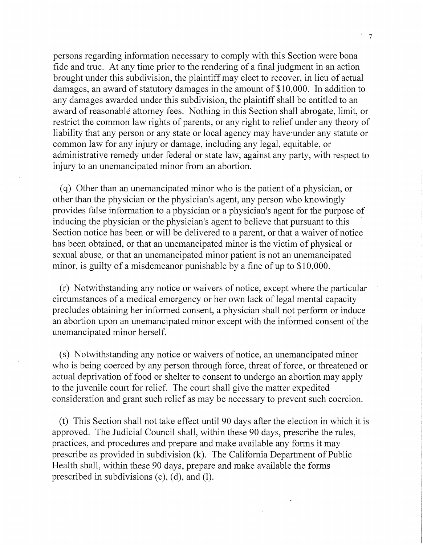persons regarding information necessary to comply with this Section were bona fide and true. At any time prior to the rendering of a final judgment in an action brought under this subdivision, the plaintiff may elect to recover, in lieu of actual damages, an award of statutory damages in the amount of \$10,000. In addition to any damages awarded under this subdivision, the plaintiff shall be entitled to an award of reasonable attorney fees. Nothing in this Section shall abrogate, limit, or restrict the common law rights of parents, or any right to relief under any theory of liability that any person or any state or local agency may have under any statute or common law for any injury or damage, including any legal, equitable, or administrative remedy under federal or state law, against any party, with respect to injury to an unemancipated minor from an abortion.

( q) Other than an unemancipated minor who is the patient of a physician, or other than the physician or the physician's agent, any person who knowingly provides false information to a physician or a physician's agent for the purpose of inducing the physician or the physician's agent to believe that pursuant to this Section notice has been or will be delivered to a parent, or that a waiver of notice has been obtained, or that an unemancipated minor is the victim of physical or sexual abuse, or that an unemancipated minor patient is not an unemancipated minor, is guilty of a misdemeanor punishable by a fine of up to \$10,000.

(r) Notwithstanding any notice or waivers of notice, except where the particular circumstances of a medical emergency or her own lack of legal mental capacity precludes obtaining her informed consent, a physician shall not perform or induce an abortion upon an unemancipated minor except with the informed consent of the unemancipated minor herself.

(s) Notwithstanding any notice or waivers of notice, an unemancipated minor who is being coerced by any person through force, threat of force, or threatened or actual deprivation of food or shelter to consent to undergo an abortion may apply to the juvenile court for relief. The court shall give the matter expedited consideration and grant such relief as may be necessary to prevent such coercion.

(t) This Section shall not take effect until 90 days after the election in which it is approved. The Judicial Council shall, within these 90 days, prescribe the rules, practices, and procedures and prepare and make available any forms it may prescribe as provided in subdivision (k). The California Department of Public Health shall, within these 90 days, prepare and make available the forms prescribed in subdivisions (c), (d), and (1).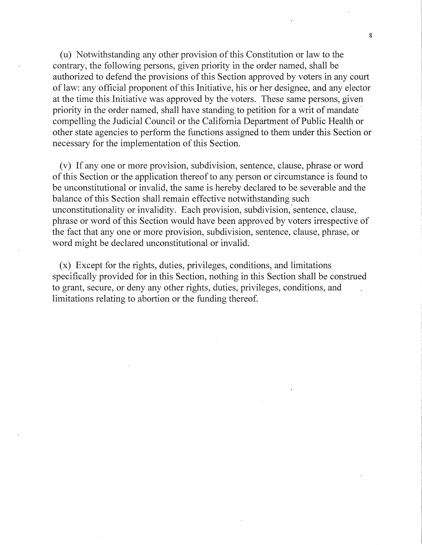(u) Notwithstanding any other provision of this Constitution or law to the contrary, the following persons, given priority in the order named, shall be authorized to defend the provisions of this Section approved by voters in any court of law: any official proponent of this Initiative, his or her designee, and any elector at the time this Initiative was approved by the voters. These same persons, given priority in the order named, shall have standing to petition for a writ of mandate compelling the Judicial Council or the California Department of Public Health or other state agencies to perform the functions assigned to them under this Section or necessary for the implementation of this Section.

(v) If any one or more provision, subdivision, sentence, clause, phrase or word of this Section or the application thereof to any person or circumstance is found to be unconstitutional or invalid, the same is hereby declared to be severable and the balance of this Section shall remain effective notwithstanding such unconstitutionality or invalidity. Each provision, subdivision; sentence, clause, phrase or word of this Section would have been approved by voters irrespective of the fact that any one or more provision, subdivision, sentence, clause, phrase, or word might be declared unconstitutional or invalid.

(x) Except for the rights, duties, privileges, conditions, and limitations specifically provided for in this Section, nothing in this Section shall be construed to grant, secure, or deny any other rights, duties, privileges, conditions, and limitations relating to abortion or the funding thereof.

8